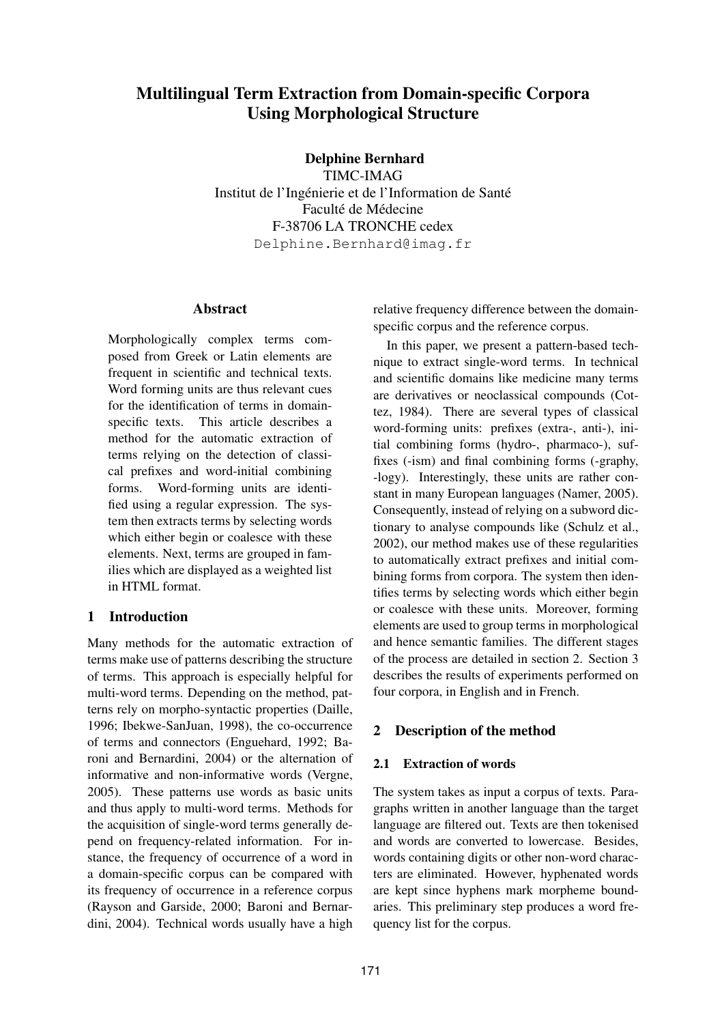# Multilingual Term Extraction from Domain-specific Corpora Using Morphological Structure

Delphine Bernhard

TIMC-IMAG Institut de l'Ingénierie et de l'Information de Santé Faculté de Médecine F-38706 LA TRONCHE cedex Delphine.Bernhard@imag.fr

## Abstract

Morphologically complex terms composed from Greek or Latin elements are frequent in scientific and technical texts. Word forming units are thus relevant cues for the identification of terms in domainspecific texts. This article describes a method for the automatic extraction of terms relying on the detection of classical prefixes and word-initial combining forms. Word-forming units are identified using a regular expression. The system then extracts terms by selecting words which either begin or coalesce with these elements. Next, terms are grouped in families which are displayed as a weighted list in HTML format.

# 1 Introduction

Many methods for the automatic extraction of terms make use of patterns describing the structure of terms. This approach is especially helpful for multi-word terms. Depending on the method, patterns rely on morpho-syntactic properties (Daille, 1996; Ibekwe-SanJuan, 1998), the co-occurrence of terms and connectors (Enguehard, 1992; Baroni and Bernardini, 2004) or the alternation of informative and non-informative words (Vergne, 2005). These patterns use words as basic units and thus apply to multi-word terms. Methods for the acquisition of single-word terms generally depend on frequency-related information. For instance, the frequency of occurrence of a word in a domain-specific corpus can be compared with its frequency of occurrence in a reference corpus (Rayson and Garside, 2000; Baroni and Bernardini, 2004). Technical words usually have a high relative frequency difference between the domainspecific corpus and the reference corpus.

In this paper, we present a pattern-based technique to extract single-word terms. In technical and scientific domains like medicine many terms are derivatives or neoclassical compounds (Cottez, 1984). There are several types of classical word-forming units: prefixes (extra-, anti-), initial combining forms (hydro-, pharmaco-), suffixes (-ism) and final combining forms (-graphy, -logy). Interestingly, these units are rather constant in many European languages (Namer, 2005). Consequently, instead of relying on a subword dictionary to analyse compounds like (Schulz et al., 2002), our method makes use of these regularities to automatically extract prefixes and initial combining forms from corpora. The system then identifies terms by selecting words which either begin or coalesce with these units. Moreover, forming elements are used to group terms in morphological and hence semantic families. The different stages of the process are detailed in section 2. Section 3 describes the results of experiments performed on four corpora, in English and in French.

# 2 Description of the method

# 2.1 Extraction of words

The system takes as input a corpus of texts. Paragraphs written in another language than the target language are filtered out. Texts are then tokenised and words are converted to lowercase. Besides, words containing digits or other non-word characters are eliminated. However, hyphenated words are kept since hyphens mark morpheme boundaries. This preliminary step produces a word frequency list for the corpus.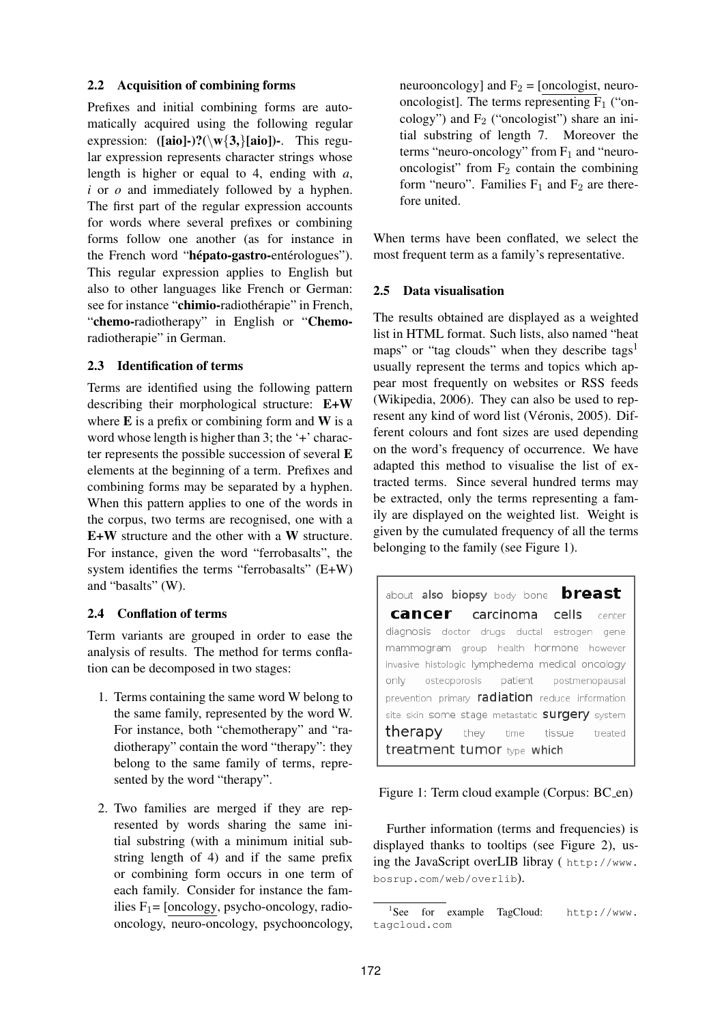#### 2.2 Acquisition of combining forms

Prefixes and initial combining forms are automatically acquired using the following regular expression:  $([aio]-)?\(\wedge\wedge\{3\}[\aio])$ -. This regular expression represents character strings whose length is higher or equal to 4, ending with *a*, *i* or *o* and immediately followed by a hyphen. The first part of the regular expression accounts for words where several prefixes or combining forms follow one another (as for instance in the French word "hépato-gastro-entérologues"). This regular expression applies to English but also to other languages like French or German: see for instance "chimio-radiothérapie" in French, "chemo-radiotherapy" in English or "Chemoradiotherapie" in German.

## 2.3 Identification of terms

Terms are identified using the following pattern describing their morphological structure: E+W where  $E$  is a prefix or combining form and  $W$  is a word whose length is higher than 3; the '+' character represents the possible succession of several E elements at the beginning of a term. Prefixes and combining forms may be separated by a hyphen. When this pattern applies to one of the words in the corpus, two terms are recognised, one with a E+W structure and the other with a W structure. For instance, given the word "ferrobasalts", the system identifies the terms "ferrobasalts" (E+W) and "basalts" (W).

## 2.4 Conflation of terms

Term variants are grouped in order to ease the analysis of results. The method for terms conflation can be decomposed in two stages:

- 1. Terms containing the same word W belong to the same family, represented by the word W. For instance, both "chemotherapy" and "radiotherapy" contain the word "therapy": they belong to the same family of terms, represented by the word "therapy".
- 2. Two families are merged if they are represented by words sharing the same initial substring (with a minimum initial substring length of 4) and if the same prefix or combining form occurs in one term of each family. Consider for instance the families  $F_1$ = [oncology, psycho-oncology, radiooncology, neuro-oncology, psychooncology,

neurooncology] and  $F_2$  = [oncologist, neurooncologist]. The terms representing  $F_1$  ("oncology") and  $F_2$  ("oncologist") share an initial substring of length 7. Moreover the terms "neuro-oncology" from  $F_1$  and "neurooncologist" from  $F_2$  contain the combining form "neuro". Families  $F_1$  and  $F_2$  are therefore united.

When terms have been conflated, we select the most frequent term as a family's representative.

#### 2.5 Data visualisation

The results obtained are displayed as a weighted list in HTML format. Such lists, also named "heat maps" or "tag clouds" when they describe tags<sup>1</sup> usually represent the terms and topics which appear most frequently on websites or RSS feeds (Wikipedia, 2006). They can also be used to represent any kind of word list (Véronis, 2005). Different colours and font sizes are used depending on the word's frequency of occurrence. We have adapted this method to visualise the list of extracted terms. Since several hundred terms may be extracted, only the terms representing a family are displayed on the weighted list. Weight is given by the cumulated frequency of all the terms belonging to the family (see Figure 1).

breast about also biopsy body bone cancer carcinoma cells center diagnosis doctor drugs ductal estrogen gene mammogram group health hormone however invasive histologic lymphedema medical oncology osteoporosis only patient postmenopausal prevention primary radiation reduce information site skin some stage metastatic **surgery** system therapy they time tissue treated treatment tumor type which

Figure 1: Term cloud example (Corpus: BC\_en)

Further information (terms and frequencies) is displayed thanks to tooltips (see Figure 2), using the JavaScript overLIB libray ( http://www. bosrup.com/web/overlib).

<sup>1</sup> See for example TagCloud: http://www. tagcloud.com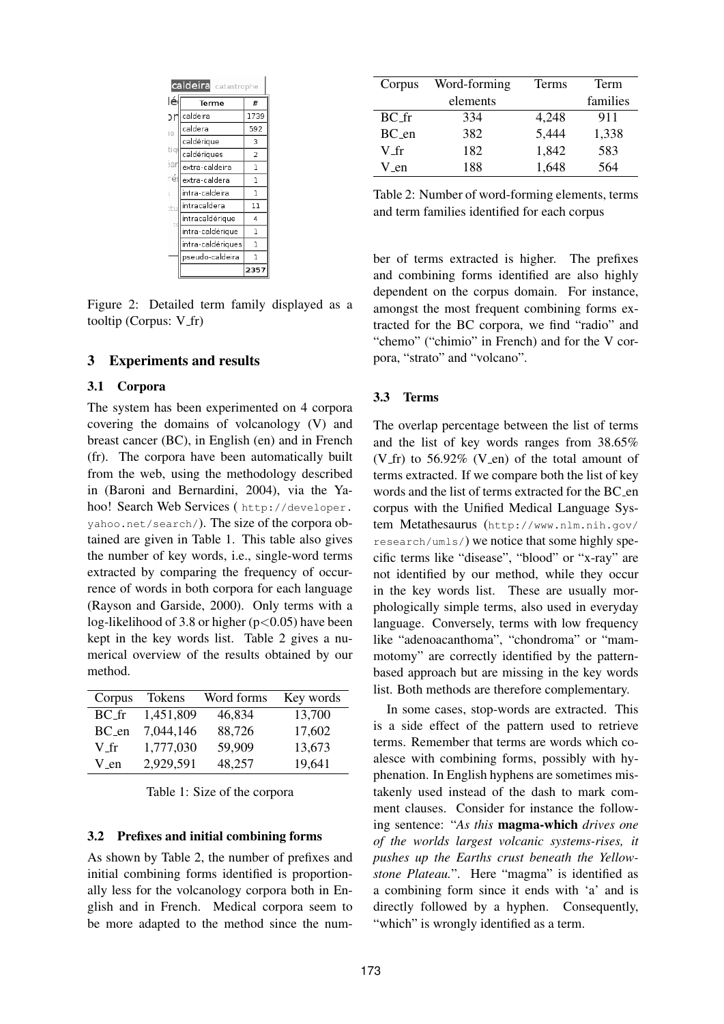| <b>caldeira</b> catastrophe |                   |              |  |  |  |
|-----------------------------|-------------------|--------------|--|--|--|
| lé                          | Terme             | #            |  |  |  |
| эr                          | caldeira          | 1739         |  |  |  |
| ie                          | caldera           | 592          |  |  |  |
|                             | caldérique        | 3            |  |  |  |
| tiq                         | caldériques       | 2            |  |  |  |
| ŝar                         | extra-caldeira    | 1            |  |  |  |
| rés                         | extra-caldera     | ı            |  |  |  |
| ì,                          | intra-caldeira    | ı            |  |  |  |
| tu                          | intracaldera      | 11           |  |  |  |
| ts                          | intracaldérique   | 4            |  |  |  |
|                             | intra-caldérique  | 1            |  |  |  |
|                             | intra-caldériques | $\mathbf{I}$ |  |  |  |
|                             | pseudo-caldeira   | ı            |  |  |  |
|                             |                   | 2357         |  |  |  |

Figure 2: Detailed term family displayed as a tooltip (Corpus:  $V$ \_fr)

#### 3 Experiments and results

#### 3.1 Corpora

The system has been experimented on 4 corpora covering the domains of volcanology (V) and breast cancer (BC), in English (en) and in French (fr). The corpora have been automatically built from the web, using the methodology described in (Baroni and Bernardini, 2004), via the Yahoo! Search Web Services ( http://developer. yahoo.net/search/). The size of the corpora obtained are given in Table 1. This table also gives the number of key words, i.e., single-word terms extracted by comparing the frequency of occurrence of words in both corpora for each language (Rayson and Garside, 2000). Only terms with a log-likelihood of 3.8 or higher ( $p<0.05$ ) have been kept in the key words list. Table 2 gives a numerical overview of the results obtained by our method.

| Corpus    | <b>Tokens</b> | Word forms | Key words |
|-----------|---------------|------------|-----------|
| BC.fr     | 1,451,809     | 46,834     | 13,700    |
| $BC_{en}$ | 7,044,146     | 88,726     | 17,602    |
| $V_f$     | 1,777,030     | 59,909     | 13,673    |
| V_en      | 2,929,591     | 48,257     | 19,641    |

Table 1: Size of the corpora

#### 3.2 Prefixes and initial combining forms

As shown by Table 2, the number of prefixes and initial combining forms identified is proportionally less for the volcanology corpora both in English and in French. Medical corpora seem to be more adapted to the method since the num-

| Corpus   | Word-forming | Terms | Term     |
|----------|--------------|-------|----------|
|          | elements     |       | families |
| $BC$ -fr | 334          | 4,248 | 911      |
| $BC$ en  | 382          | 5,444 | 1,338    |
| V fr     | 182          | 1,842 | 583      |
| V en     | 188          | 1,648 | 564      |

Table 2: Number of word-forming elements, terms and term families identified for each corpus

ber of terms extracted is higher. The prefixes and combining forms identified are also highly dependent on the corpus domain. For instance, amongst the most frequent combining forms extracted for the BC corpora, we find "radio" and "chemo" ("chimio" in French) and for the V corpora, "strato" and "volcano".

#### 3.3 Terms

The overlap percentage between the list of terms and the list of key words ranges from 38.65% (V\_fr) to  $56.92\%$  (V\_en) of the total amount of terms extracted. If we compare both the list of key words and the list of terms extracted for the BC en corpus with the Unified Medical Language System Metathesaurus (http://www.nlm.nih.gov/ research/umls/) we notice that some highly specific terms like "disease", "blood" or "x-ray" are not identified by our method, while they occur in the key words list. These are usually morphologically simple terms, also used in everyday language. Conversely, terms with low frequency like "adenoacanthoma", "chondroma" or "mammotomy" are correctly identified by the patternbased approach but are missing in the key words list. Both methods are therefore complementary.

In some cases, stop-words are extracted. This is a side effect of the pattern used to retrieve terms. Remember that terms are words which coalesce with combining forms, possibly with hyphenation. In English hyphens are sometimes mistakenly used instead of the dash to mark comment clauses. Consider for instance the following sentence: "*As this* magma-which *drives one of the worlds largest volcanic systems-rises, it pushes up the Earths crust beneath the Yellowstone Plateau.*". Here "magma" is identified as a combining form since it ends with 'a' and is directly followed by a hyphen. Consequently, "which" is wrongly identified as a term.